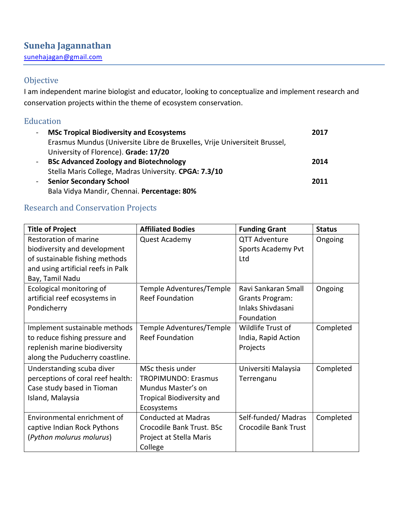[sunehajagan@gmail.com](mailto:sunehajagan@gmail.com)

## Objective

I am independent marine biologist and educator, looking to conceptualize and implement research and conservation projects within the theme of ecosystem conservation.

# Education

| $\blacksquare$ | <b>MSc Tropical Biodiversity and Ecosystems</b>                            | 2017 |
|----------------|----------------------------------------------------------------------------|------|
|                | Erasmus Mundus (Universite Libre de Bruxelles, Vrije Universiteit Brussel, |      |
|                | University of Florence). Grade: 17/20                                      |      |
| $\sim$         | <b>BSc Advanced Zoology and Biotechnology</b>                              | 2014 |
|                | Stella Maris College, Madras University. CPGA: 7.3/10                      |      |
| $\sim$         | <b>Senior Secondary School</b>                                             | 2011 |
|                | Bala Vidya Mandir, Chennai. Percentage: 80%                                |      |

# Research and Conservation Projects

| <b>Title of Project</b>            | <b>Affiliated Bodies</b>         | <b>Funding Grant</b>   | <b>Status</b> |
|------------------------------------|----------------------------------|------------------------|---------------|
| Restoration of marine              | <b>Quest Academy</b>             | <b>QTT Adventure</b>   | Ongoing       |
| biodiversity and development       |                                  | Sports Academy Pvt     |               |
| of sustainable fishing methods     |                                  | Ltd                    |               |
| and using artificial reefs in Palk |                                  |                        |               |
| Bay, Tamil Nadu                    |                                  |                        |               |
| Ecological monitoring of           | Temple Adventures/Temple         | Ravi Sankaran Small    | Ongoing       |
| artificial reef ecosystems in      | <b>Reef Foundation</b>           | <b>Grants Program:</b> |               |
| Pondicherry                        |                                  | Inlaks Shivdasani      |               |
|                                    |                                  | Foundation             |               |
| Implement sustainable methods      | Temple Adventures/Temple         | Wildlife Trust of      | Completed     |
| to reduce fishing pressure and     | <b>Reef Foundation</b>           | India, Rapid Action    |               |
| replenish marine biodiversity      |                                  | Projects               |               |
| along the Puducherry coastline.    |                                  |                        |               |
| Understanding scuba diver          | MSc thesis under                 | Universiti Malaysia    | Completed     |
| perceptions of coral reef health:  | <b>TROPIMUNDO: Erasmus</b>       | Terrenganu             |               |
| Case study based in Tioman         | Mundus Master's on               |                        |               |
| Island, Malaysia                   | <b>Tropical Biodiversity and</b> |                        |               |
|                                    | Ecosystems                       |                        |               |
| Environmental enrichment of        | <b>Conducted at Madras</b>       | Self-funded/Madras     | Completed     |
| captive Indian Rock Pythons        | Crocodile Bank Trust. BSc        | Crocodile Bank Trust   |               |
| (Python molurus molurus)           | Project at Stella Maris          |                        |               |
|                                    | College                          |                        |               |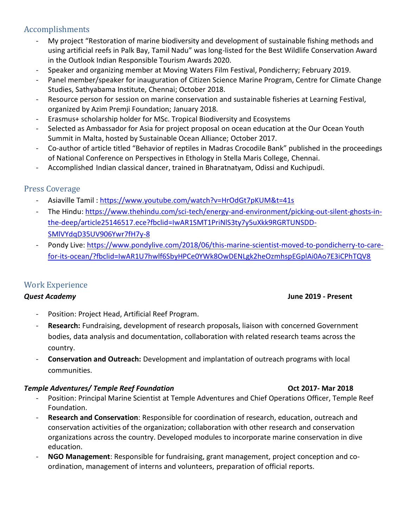## Accomplishments

- My project "Restoration of marine biodiversity and development of sustainable fishing methods and using artificial reefs in Palk Bay, Tamil Nadu" was long-listed for the Best Wildlife Conservation Award in the Outlook Indian Responsible Tourism Awards 2020.
- Speaker and organizing member at Moving Waters Film Festival, Pondicherry; February 2019.
- Panel member/speaker for inauguration of Citizen Science Marine Program, Centre for Climate Change Studies, Sathyabama Institute, Chennai; October 2018.
- Resource person for session on marine conservation and sustainable fisheries at Learning Festival, organized by Azim Premji Foundation; January 2018.
- Erasmus+ scholarship holder for MSc. Tropical Biodiversity and Ecosystems
- Selected as Ambassador for Asia for project proposal on ocean education at the Our Ocean Youth Summit in Malta, hosted by Sustainable Ocean Alliance; October 2017.
- Co-author of article titled "Behavior of reptiles in Madras Crocodile Bank" published in the proceedings of National Conference on Perspectives in Ethology in Stella Maris College, Chennai.
- Accomplished Indian classical dancer, trained in Bharatnatyam, Odissi and Kuchipudi.

### Press Coverage

- Asiaville Tamil:<https://www.youtube.com/watch?v=HrOdGt7pKUM&t=41s>
- The Hindu: [https://www.thehindu.com/sci-tech/energy-and-environment/picking-out-silent-ghosts-in](https://www.thehindu.com/sci-tech/energy-and-environment/picking-out-silent-ghosts-in-the-deep/article25146517.ece?fbclid=IwAR1SMT1PriNlS3ty7y5uXkk9RGRTUNSDD-SMlVYdqD35UV906Ywr7fH7y-8)[the-deep/article25146517.ece?fbclid=IwAR1SMT1PriNlS3ty7y5uXkk9RGRTUNSDD-](https://www.thehindu.com/sci-tech/energy-and-environment/picking-out-silent-ghosts-in-the-deep/article25146517.ece?fbclid=IwAR1SMT1PriNlS3ty7y5uXkk9RGRTUNSDD-SMlVYdqD35UV906Ywr7fH7y-8)[SMlVYdqD35UV906Ywr7fH7y-8](https://www.thehindu.com/sci-tech/energy-and-environment/picking-out-silent-ghosts-in-the-deep/article25146517.ece?fbclid=IwAR1SMT1PriNlS3ty7y5uXkk9RGRTUNSDD-SMlVYdqD35UV906Ywr7fH7y-8)
- Pondy Live: [https://www.pondylive.com/2018/06/this-marine-scientist-moved-to-pondicherry-to-care](https://www.pondylive.com/2018/06/this-marine-scientist-moved-to-pondicherry-to-care-for-its-ocean/?fbclid=IwAR1U7hwlf6SbyHPCe0YWk8OwDENLgk2heOzmhspEGplAi0Ao7E3iCPhTQV8)[for-its-ocean/?fbclid=IwAR1U7hwlf6SbyHPCe0YWk8OwDENLgk2heOzmhspEGplAi0Ao7E3iCPhTQV8](https://www.pondylive.com/2018/06/this-marine-scientist-moved-to-pondicherry-to-care-for-its-ocean/?fbclid=IwAR1U7hwlf6SbyHPCe0YWk8OwDENLgk2heOzmhspEGplAi0Ao7E3iCPhTQV8)

### Work Experience

- Position: Project Head, Artificial Reef Program.
- Research: Fundraising, development of research proposals, liaison with concerned Government bodies, data analysis and documentation, collaboration with related research teams across the country.
- **Conservation and Outreach:** Development and implantation of outreach programs with local communities.

### *Temple Adventures/ Temple Reef Foundation* **Oct 2017- Mar 2018**

- Position: Principal Marine Scientist at Temple Adventures and Chief Operations Officer, Temple Reef Foundation.
- **Research and Conservation**: Responsible for coordination of research, education, outreach and conservation activities of the organization; collaboration with other research and conservation organizations across the country. Developed modules to incorporate marine conservation in dive education.
- **NGO Management**: Responsible for fundraising, grant management, project conception and coordination, management of interns and volunteers, preparation of official reports.

### *Quest Academy* **June 2019 - Present**